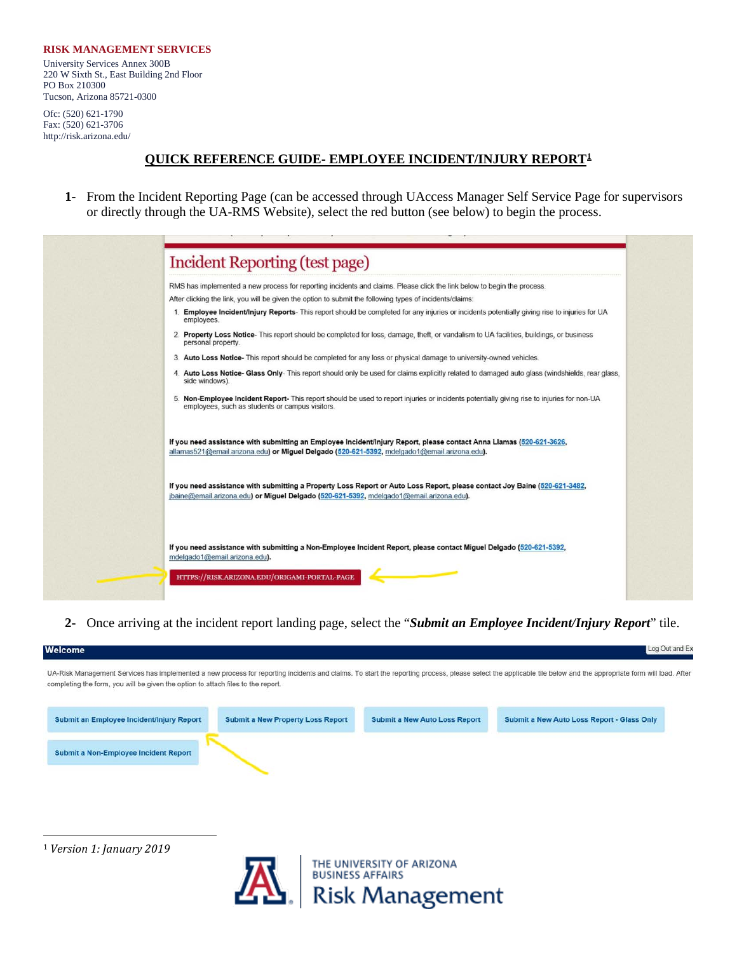**RISK MANAGEMENT SERVICES**  University Services Annex 300B 220 W Sixth St., East Building 2nd Floor PO Box 210300 Tucson, Arizona 85721-0300

Ofc: (520) 621-1790 Fax: (520) 621-3706 http://risk.arizona.edu/

## **QUICK REFERENCE GUIDE- EMPLOYEE INCIDENT/INJURY REPORT[1](#page-0-0)**

**1-** From the Incident Reporting Page (can be accessed through UAccess Manager Self Service Page for supervisors or directly through the UA-RMS Website), select the red button (see below) to begin the process.

|                    | RMS has implemented a new process for reporting incidents and claims. Please click the link below to begin the process.                                                                                                |
|--------------------|------------------------------------------------------------------------------------------------------------------------------------------------------------------------------------------------------------------------|
|                    | After clicking the link, you will be given the option to submit the following types of incidents/claims:                                                                                                               |
| employees.         | 1. Employee Incident/Injury Reports- This report should be completed for any injuries or incidents potentially giving rise to injuries for UA                                                                          |
| personal property. | 2. Property Loss Notice- This report should be completed for loss, damage, theft, or vandalism to UA facilities, buildings, or business                                                                                |
|                    | 3. Auto Loss Notice- This report should be completed for any loss or physical damage to university-owned vehicles.                                                                                                     |
| side windows).     | 4. Auto Loss Notice- Glass Only- This report should only be used for claims explicitly related to damaged auto glass (windshields, rear glass,                                                                         |
|                    | 5. Non-Employee Incident Report- This report should be used to report injuries or incidents potentially giving rise to injuries for non-UA<br>employees, such as students or campus visitors.                          |
|                    | If you need assistance with submitting an Employee Incident/Injury Report, please contact Anna Llamas (520-621-3626,<br>allamas521@email.arizona.edu) or Miguel Delgado (520-621-5392, mdelgado1@email.arizona.edu).   |
|                    | If you need assistance with submitting a Property Loss Report or Auto Loss Report, please contact Joy Baine (520-621-3482,<br>jbaine@email.arizona.edu) or Miguel Delgado (520-621-5392, mdelgado1@email.arizona.edu). |
|                    |                                                                                                                                                                                                                        |

**2-** Once arriving at the incident report landing page, select the "*Submit an Employee Incident/Injury Report*" tile.

| Log Out and Ex<br>Welcome                                                                                                                                                                                                                                                                           |                                      |                                            |  |  |
|-----------------------------------------------------------------------------------------------------------------------------------------------------------------------------------------------------------------------------------------------------------------------------------------------------|--------------------------------------|--------------------------------------------|--|--|
| UA-Risk Management Services has implemented a new process for reporting incidents and claims. To start the reporting process, please select the applicable tile below and the appropriate form will load. After<br>completing the form, you will be given the option to attach files to the report. |                                      |                                            |  |  |
| <b>Submit a New Property Loss Report</b><br>Submit an Employee Incident/Injury Report                                                                                                                                                                                                               | <b>Submit a New Auto Loss Report</b> | Submit a New Auto Loss Report - Glass Only |  |  |
| Submit a Non-Employee Incident Report                                                                                                                                                                                                                                                               |                                      |                                            |  |  |

<span id="page-0-0"></span>1 *Version 1: January 2019*